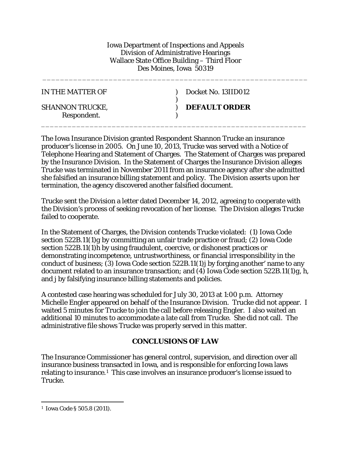Iowa Department of Inspections and Appeals Division of Administrative Hearings Wallace State Office Building – Third Floor Des Moines, Iowa 50319

\_\_\_\_\_\_\_\_\_\_\_\_\_\_\_\_\_\_\_\_\_\_\_\_\_\_\_\_\_\_\_\_\_\_\_\_\_\_\_\_\_\_\_\_\_\_\_\_\_\_\_\_\_\_\_\_\_\_\_\_

| IN THE MATTER OF                      | Docket No. 13IID012  |
|---------------------------------------|----------------------|
| <b>SHANNON TRUCKE,</b><br>Respondent. | <b>DEFAULT ORDER</b> |

The Iowa Insurance Division granted Respondent Shannon Trucke an insurance producer's license in 2005. On June 10, 2013, Trucke was served with a Notice of Telephone Hearing and Statement of Charges. The Statement of Charges was prepared by the Insurance Division. In the Statement of Charges the Insurance Division alleges Trucke was terminated in November 2011 from an insurance agency after she admitted she falsified an insurance billing statement and policy. The Division asserts upon her termination, the agency discovered another falsified document.

Trucke sent the Division a letter dated December 14, 2012, agreeing to cooperate with the Division's process of seeking revocation of her license. The Division alleges Trucke failed to cooperate.

In the Statement of Charges, the Division contends Trucke violated: (1) Iowa Code section 522B.11(1)*g* by committing an unfair trade practice or fraud; (2) Iowa Code section 522B.11(1)*h* by using fraudulent, coercive, or dishonest practices or demonstrating incompetence, untrustworthiness, or financial irresponsibility in the conduct of business; (3) Iowa Code section 522B.11(1)*j* by forging another' name to any document related to an insurance transaction; and (4) Iowa Code section 522B.11(1)*g*, *h*, and *j* by falsifying insurance billing statements and policies.

A contested case hearing was scheduled for July 30, 2013 at 1:00 p.m. Attorney Michelle Engler appeared on behalf of the Insurance Division. Trucke did not appear. I waited 5 minutes for Trucke to join the call before releasing Engler. I also waited an additional 10 minutes to accommodate a late call from Trucke. She did not call. The administrative file shows Trucke was properly served in this matter.

## **CONCLUSIONS OF LAW**

The Insurance Commissioner has general control, supervision, and direction over all insurance business transacted in Iowa, and is responsible for enforcing Iowa laws relating to insurance.[1](#page-0-0) This case involves an insurance producer's license issued to Trucke.

<span id="page-0-0"></span> <sup>1</sup> Iowa Code § 505.8 (2011).